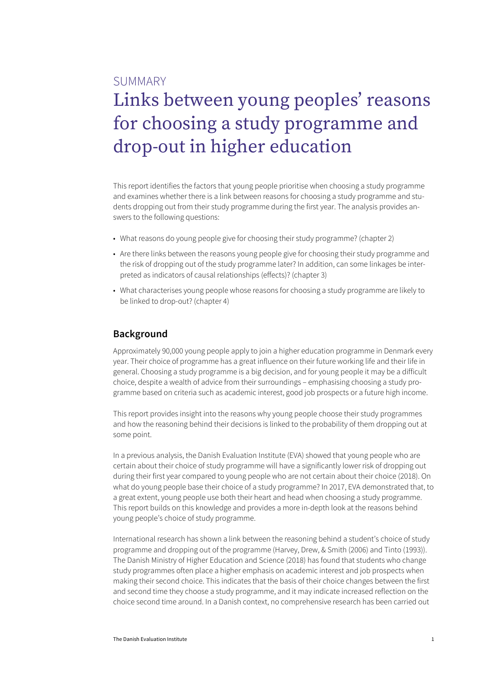# SUMMARY Links between young peoples' reasons for choosing a study programme and drop-out in higher education

This report identifies the factors that young people prioritise when choosing a study programme and examines whether there is a link between reasons for choosing a study programme and students dropping out from their study programme during the first year. The analysis provides answers to the following questions:

- What reasons do young people give for choosing their study programme? (chapter 2)
- Are there links between the reasons young people give for choosing their study programme and the risk of dropping out of the study programme later? In addition, can some linkages be interpreted as indicators of causal relationships (effects)? (chapter 3)
- What characterises young people whose reasons for choosing a study programme are likely to be linked to drop-out? (chapter 4)

#### **Background**

Approximately 90,000 young people apply to join a higher education programme in Denmark every year. Their choice of programme has a great influence on their future working life and their life in general. Choosing a study programme is a big decision, and for young people it may be a difficult choice, despite a wealth of advice from their surroundings – emphasising choosing a study programme based on criteria such as academic interest, good job prospects or a future high income.

This report provides insight into the reasons why young people choose their study programmes and how the reasoning behind their decisions is linked to the probability of them dropping out at some point.

In a previous analysis, the Danish Evaluation Institute (EVA) showed that young people who are certain about their choice of study programme will have a significantly lower risk of dropping out during their first year compared to young people who are not certain about their choice (2018). On what do young people base their choice of a study programme? In 2017, EVA demonstrated that, to a great extent, young people use both their heart and head when choosing a study programme. This report builds on this knowledge and provides a more in-depth look at the reasons behind young people's choice of study programme.

International research has shown a link between the reasoning behind a student's choice of study programme and dropping out of the programme (Harvey, Drew, & Smith (2006) and Tinto (1993)). The Danish Ministry of Higher Education and Science (2018) has found that students who change study programmes often place a higher emphasis on academic interest and job prospects when making their second choice. This indicates that the basis of their choice changes between the first and second time they choose a study programme, and it may indicate increased reflection on the choice second time around. In a Danish context, no comprehensive research has been carried out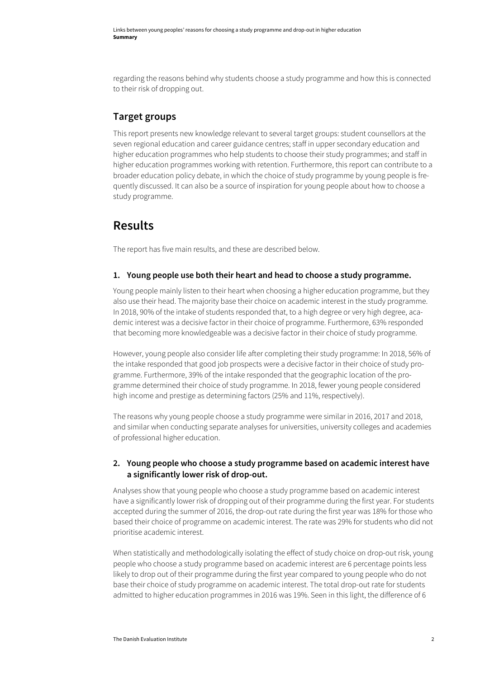regarding the reasons behind why students choose a study programme and how this is connected to their risk of dropping out.

### **Target groups**

This report presents new knowledge relevant to several target groups: student counsellors at the seven regional education and career guidance centres; staff in upper secondary education and higher education programmes who help students to choose their study programmes; and staff in higher education programmes working with retention. Furthermore, this report can contribute to a broader education policy debate, in which the choice of study programme by young people is frequently discussed. It can also be a source of inspiration for young people about how to choose a study programme.

# **Results**

The report has five main results, and these are described below.

#### **1. Young people use both their heart and head to choose a study programme.**

Young people mainly listen to their heart when choosing a higher education programme, but they also use their head. The majority base their choice on academic interest in the study programme. In 2018, 90% of the intake of students responded that, to a high degree or very high degree, academic interest was a decisive factor in their choice of programme. Furthermore, 63% responded that becoming more knowledgeable was a decisive factor in their choice of study programme.

However, young people also consider life after completing their study programme: In 2018, 56% of the intake responded that good job prospects were a decisive factor in their choice of study programme. Furthermore, 39% of the intake responded that the geographic location of the programme determined their choice of study programme. In 2018, fewer young people considered high income and prestige as determining factors (25% and 11%, respectively).

The reasons why young people choose a study programme were similar in 2016, 2017 and 2018, and similar when conducting separate analyses for universities, university colleges and academies of professional higher education.

#### **2. Young people who choose a study programme based on academic interest have a significantly lower risk of drop-out.**

Analyses show that young people who choose a study programme based on academic interest have a significantly lower risk of dropping out of their programme during the first year. For students accepted during the summer of 2016, the drop-out rate during the first year was 18% for those who based their choice of programme on academic interest. The rate was 29% for students who did not prioritise academic interest.

When statistically and methodologically isolating the effect of study choice on drop-out risk, young people who choose a study programme based on academic interest are 6 percentage points less likely to drop out of their programme during the first year compared to young people who do not base their choice of study programme on academic interest. The total drop-out rate for students admitted to higher education programmes in 2016 was 19%. Seen in this light, the difference of 6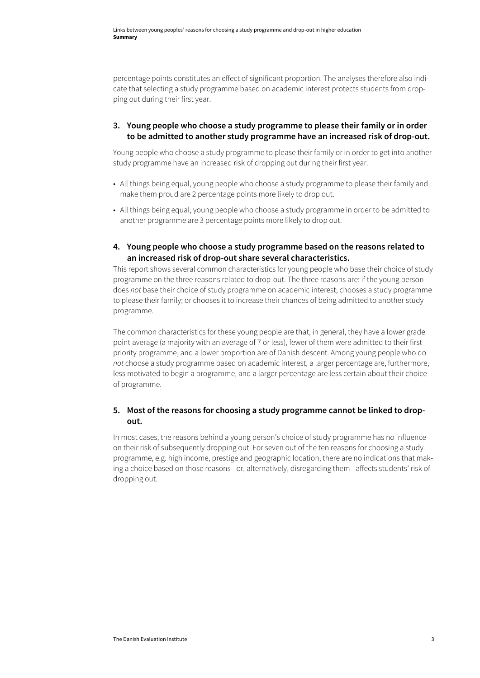percentage points constitutes an effect of significant proportion. The analyses therefore also indicate that selecting a study programme based on academic interest protects students from dropping out during their first year.

#### **3. Young people who choose a study programme to please their family or in order to be admitted to another study programme have an increased risk of drop-out.**

Young people who choose a study programme to please their family or in order to get into another study programme have an increased risk of dropping out during their first year.

- All things being equal, young people who choose a study programme to please their family and make them proud are 2 percentage points more likely to drop out.
- All things being equal, young people who choose a study programme in order to be admitted to another programme are 3 percentage points more likely to drop out.
- **4. Young people who choose a study programme based on the reasons related to an increased risk of drop-out share several characteristics.**

This report shows several common characteristics for young people who base their choice of study programme on the three reasons related to drop-out. The three reasons are: if the young person does *not* base their choice of study programme on academic interest; chooses a study programme to please their family; or chooses it to increase their chances of being admitted to another study programme.

The common characteristics for these young people are that, in general, they have a lower grade point average (a majority with an average of 7 or less), fewer of them were admitted to their first priority programme, and a lower proportion are of Danish descent. Among young people who do *not* choose a study programme based on academic interest, a larger percentage are, furthermore, less motivated to begin a programme, and a larger percentage are less certain about their choice of programme.

#### **5. Most of the reasons for choosing a study programme cannot be linked to dropout.**

In most cases, the reasons behind a young person's choice of study programme has no influence on their risk of subsequently dropping out. For seven out of the ten reasons for choosing a study programme, e.g. high income, prestige and geographic location, there are no indications that making a choice based on those reasons - or, alternatively, disregarding them - affects students' risk of dropping out.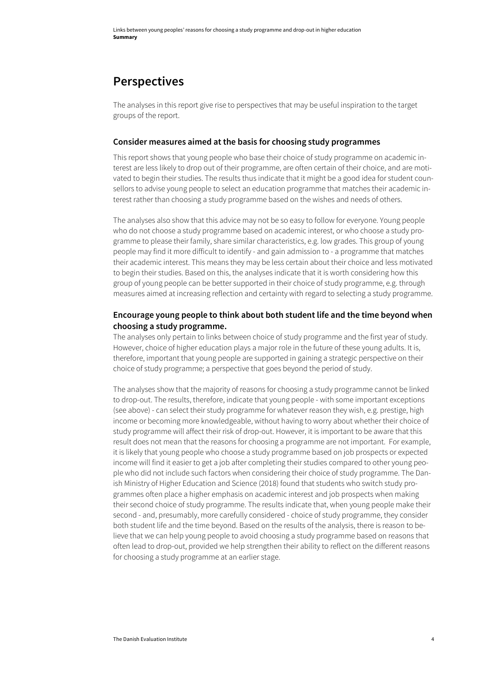## **Perspectives**

The analyses in this report give rise to perspectives that may be useful inspiration to the target groups of the report.

#### **Consider measures aimed at the basis for choosing study programmes**

This report shows that young people who base their choice of study programme on academic interest are less likely to drop out of their programme, are often certain of their choice, and are motivated to begin their studies. The results thus indicate that it might be a good idea for student counsellors to advise young people to select an education programme that matches their academic interest rather than choosing a study programme based on the wishes and needs of others.

The analyses also show that this advice may not be so easy to follow for everyone. Young people who do not choose a study programme based on academic interest, or who choose a study programme to please their family, share similar characteristics, e.g. low grades. This group of young people may find it more difficult to identify - and gain admission to - a programme that matches their academic interest. This means they may be less certain about their choice and less motivated to begin their studies. Based on this, the analyses indicate that it is worth considering how this group of young people can be better supported in their choice of study programme, e.g. through measures aimed at increasing reflection and certainty with regard to selecting a study programme.

#### **Encourage young people to think about both student life and the time beyond when choosing a study programme.**

The analyses only pertain to links between choice of study programme and the first year of study. However, choice of higher education plays a major role in the future of these young adults. It is, therefore, important that young people are supported in gaining a strategic perspective on their choice of study programme; a perspective that goes beyond the period of study.

The analyses show that the majority of reasons for choosing a study programme cannot be linked to drop-out. The results, therefore, indicate that young people - with some important exceptions (see above) - can select their study programme for whatever reason they wish, e.g. prestige, high income or becoming more knowledgeable, without having to worry about whether their choice of study programme will affect their risk of drop-out. However, it is important to be aware that this result does not mean that the reasons for choosing a programme are not important. For example, it is likely that young people who choose a study programme based on job prospects or expected income will find it easier to get a job after completing their studies compared to other young people who did not include such factors when considering their choice of study programme. The Danish Ministry of Higher Education and Science (2018) found that students who switch study programmes often place a higher emphasis on academic interest and job prospects when making their second choice of study programme. The results indicate that, when young people make their second - and, presumably, more carefully considered - choice of study programme, they consider both student life and the time beyond. Based on the results of the analysis, there is reason to believe that we can help young people to avoid choosing a study programme based on reasons that often lead to drop-out, provided we help strengthen their ability to reflect on the different reasons for choosing a study programme at an earlier stage.